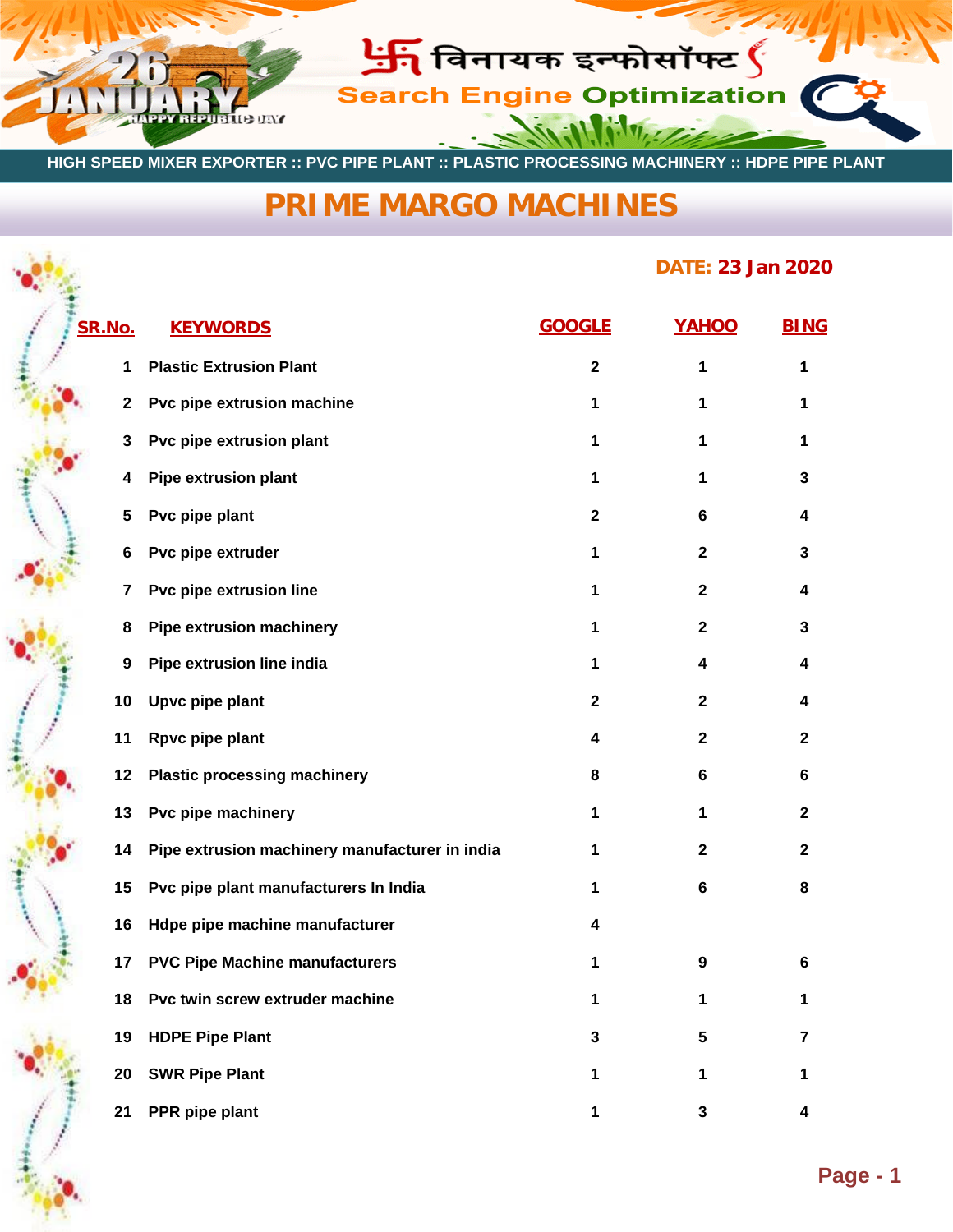

 **HIGH SPEED MIXER EXPORTER :: PVC PIPE PLANT :: PLASTIC PROCESSING MACHINERY :: HDPE PIPE PLANT**

## **[PRIME MARGO MACHINES](http://www.primemargo.com/)**

## **DATE: 23 Jan 2020**

| SR.No. | <b>KEYWORDS</b>                                | <b>GOOGLE</b> | YAHOO        | <b>BING</b>      |  |
|--------|------------------------------------------------|---------------|--------------|------------------|--|
| 1      | <b>Plastic Extrusion Plant</b>                 | $\mathbf{2}$  | 1            | 1                |  |
| 2      | Pvc pipe extrusion machine                     | 1             | 1            | 1                |  |
| 3      | Pvc pipe extrusion plant                       | 1             | 1            | 1                |  |
| 4      | <b>Pipe extrusion plant</b>                    | 1             | 1            | 3                |  |
| 5      | Pvc pipe plant                                 | $\mathbf 2$   | 6            | 4                |  |
| 6      | Pvc pipe extruder                              | 1             | $\mathbf{2}$ | 3                |  |
| 7      | Pvc pipe extrusion line                        | 1             | $\mathbf{2}$ | 4                |  |
| 8      | <b>Pipe extrusion machinery</b>                | 1             | $\mathbf{2}$ | 3                |  |
| 9      | Pipe extrusion line india                      | 1             | 4            | 4                |  |
| 10     | Upvc pipe plant                                | $\mathbf 2$   | $\mathbf{2}$ | 4                |  |
| 11     | Rpvc pipe plant                                | 4             | $\mathbf{2}$ | $\mathbf{2}$     |  |
| 12     | <b>Plastic processing machinery</b>            | 8             | 6            | 6                |  |
| 13     | Pvc pipe machinery                             | 1             | 1            | $\boldsymbol{2}$ |  |
| 14     | Pipe extrusion machinery manufacturer in india | 1             | $\mathbf 2$  | $\mathbf{2}$     |  |
| 15     | Pvc pipe plant manufacturers In India          | 1             | 6            | 8                |  |
| 16     | Hdpe pipe machine manufacturer                 | 4             |              |                  |  |
| 17     | <b>PVC Pipe Machine manufacturers</b>          | 1             | 9            | 6                |  |
| 18     | Pvc twin screw extruder machine                | 1             | 1            | 1                |  |
| 19     | <b>HDPE Pipe Plant</b>                         | 3             | 5            | 7                |  |
| 20     | <b>SWR Pipe Plant</b>                          | 1             | 1            | 1                |  |
| 21     | PPR pipe plant                                 | 1             | 3            | 4                |  |

 $\frac{1}{2}$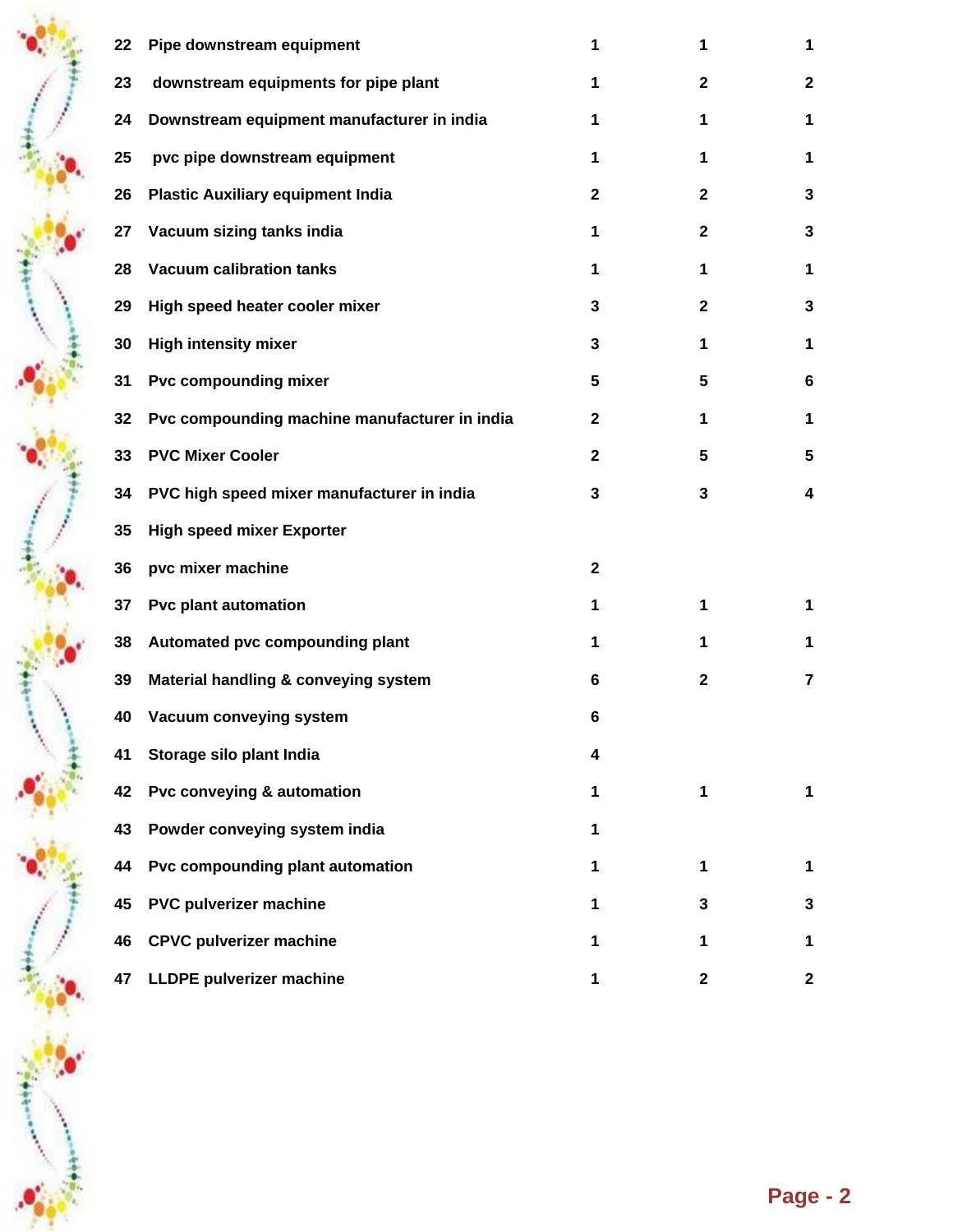| 22 | Pipe downstream equipment                     | 1            | 1            | 1               |
|----|-----------------------------------------------|--------------|--------------|-----------------|
| 23 | downstream equipments for pipe plant          | 1            | $\mathbf{2}$ | $\mathbf{2}$    |
| 24 | Downstream equipment manufacturer in india    | 1            | 1            | 1               |
| 25 | pvc pipe downstream equipment                 | 1            | 1            | 1               |
| 26 | <b>Plastic Auxiliary equipment India</b>      | $\mathbf{2}$ | $\mathbf{2}$ | 3               |
| 27 | Vacuum sizing tanks india                     | 1            | $\mathbf{2}$ | 3               |
| 28 | <b>Vacuum calibration tanks</b>               | 1            | 1            | 1               |
| 29 | High speed heater cooler mixer                | 3            | $\mathbf{2}$ | 3               |
| 30 | <b>High intensity mixer</b>                   | 3            | 1            | 1               |
| 31 | Pvc compounding mixer                         | 5            | 5            | 6               |
| 32 | Pvc compounding machine manufacturer in india | $\mathbf{2}$ | 1            | 1               |
| 33 | <b>PVC Mixer Cooler</b>                       | $\mathbf{2}$ | 5            | $5\phantom{.0}$ |
| 34 | PVC high speed mixer manufacturer in india    | 3            | 3            | 4               |
| 35 | <b>High speed mixer Exporter</b>              |              |              |                 |
| 36 | pvc mixer machine                             | $\mathbf{2}$ |              |                 |
| 37 | <b>Pvc plant automation</b>                   | 1            | 1            | 1               |
| 38 | Automated pvc compounding plant               | 1            | 1            | 1               |
| 39 | Material handling & conveying system          | 6            | $\mathbf{2}$ | $\overline{7}$  |
| 40 | Vacuum conveying system                       | 6            |              |                 |
| 41 | Storage silo plant India                      | 4            |              |                 |
| 42 | Pvc conveying & automation                    | 1            | 1            | 1               |
| 43 | Powder conveying system india                 | 1            |              |                 |
| 44 | Pvc compounding plant automation              | 1            | 1            | 1               |
| 45 | PVC pulverizer machine                        | 1            | 3            | 3               |
| 46 | <b>CPVC pulverizer machine</b>                | 1            | 1            | 1               |
| 47 | <b>LLDPE pulverizer machine</b>               | 1            | $\mathbf 2$  | $\mathbf{2}$    |

中学中の

一番 中心 リ

\*\*\*\*\*